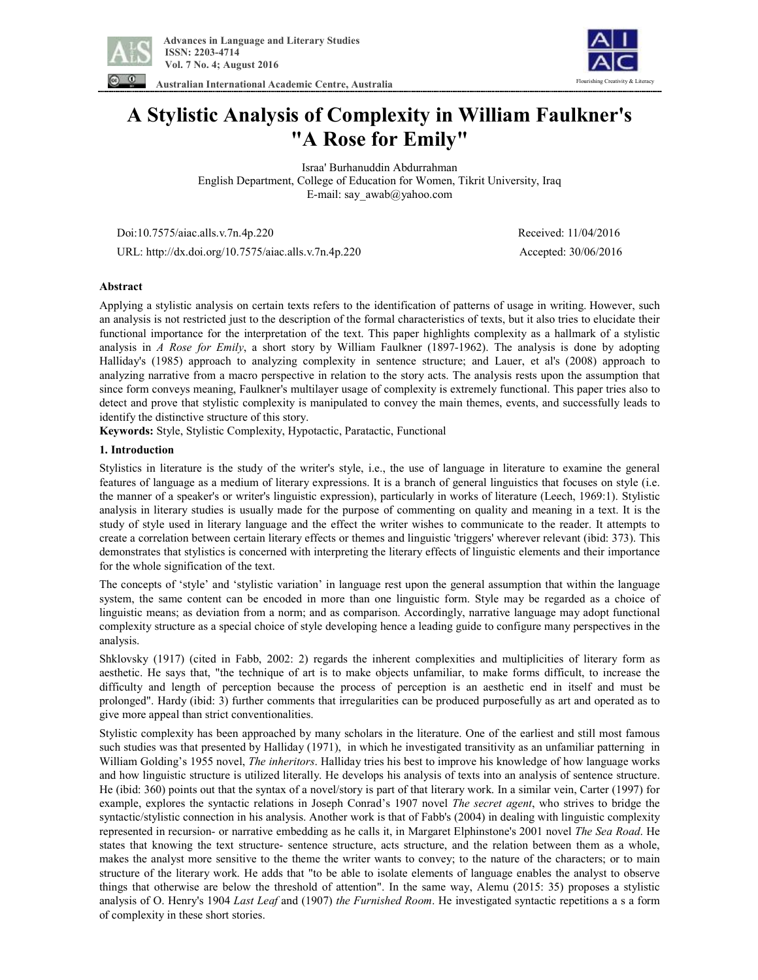

ing Creativity & Literacy

**Australian International Academic Centre, Australia** 

# **A Stylistic Analysis of Complexity in William Faulkner's "A Rose for Emily"**

Israa' Burhanuddin Abdurrahman English Department, College of Education for Women, Tikrit University, Iraq E-mail: say\_awab@yahoo.com

Doi:10.7575/aiac.alls.v.7n.4p.220 Received: 11/04/2016

URL: http://dx.doi.org/10.7575/aiac.alls.v.7n.4p.220 Accepted: 30/06/2016

## **Abstract**

Applying a stylistic analysis on certain texts refers to the identification of patterns of usage in writing. However, such an analysis is not restricted just to the description of the formal characteristics of texts, but it also tries to elucidate their functional importance for the interpretation of the text. This paper highlights complexity as a hallmark of a stylistic analysis in *A Rose for Emily*, a short story by William Faulkner (1897-1962). The analysis is done by adopting Halliday's (1985) approach to analyzing complexity in sentence structure; and Lauer, et al's (2008) approach to analyzing narrative from a macro perspective in relation to the story acts. The analysis rests upon the assumption that since form conveys meaning, Faulkner's multilayer usage of complexity is extremely functional. This paper tries also to detect and prove that stylistic complexity is manipulated to convey the main themes, events, and successfully leads to identify the distinctive structure of this story.

**Keywords:** Style, Stylistic Complexity, Hypotactic, Paratactic, Functional

## **1. Introduction**

Stylistics in literature is the study of the writer's style, i.e., the use of language in literature to examine the general features of language as a medium of literary expressions. It is a branch of general linguistics that focuses on style (i.e. the manner of a speaker's or writer's linguistic expression), particularly in works of literature (Leech, 1969:1). Stylistic analysis in literary studies is usually made for the purpose of commenting on quality and meaning in a text. It is the study of style used in literary language and the effect the writer wishes to communicate to the reader. It attempts to create a correlation between certain literary effects or themes and linguistic 'triggers' wherever relevant (ibid: 373). This demonstrates that stylistics is concerned with interpreting the literary effects of linguistic elements and their importance for the whole signification of the text.

The concepts of 'style' and 'stylistic variation' in language rest upon the general assumption that within the language system, the same content can be encoded in more than one linguistic form. Style may be regarded as a choice of linguistic means; as deviation from a norm; and as comparison. Accordingly, narrative language may adopt functional complexity structure as a special choice of style developing hence a leading guide to configure many perspectives in the analysis.

Shklovsky (1917) (cited in Fabb, 2002: 2) regards the inherent complexities and multiplicities of literary form as aesthetic. He says that, "the technique of art is to make objects unfamiliar, to make forms difficult, to increase the difficulty and length of perception because the process of perception is an aesthetic end in itself and must be prolonged". Hardy (ibid: 3) further comments that irregularities can be produced purposefully as art and operated as to give more appeal than strict conventionalities.

Stylistic complexity has been approached by many scholars in the literature. One of the earliest and still most famous such studies was that presented by Halliday (1971), in which he investigated transitivity as an unfamiliar patterning in William Golding's 1955 novel, *The inheritors*. Halliday tries his best to improve his knowledge of how language works and how linguistic structure is utilized literally. He develops his analysis of texts into an analysis of sentence structure. He (ibid: 360) points out that the syntax of a novel/story is part of that literary work. In a similar vein, Carter (1997) for example, explores the syntactic relations in Joseph Conrad's 1907 novel *The secret agent*, who strives to bridge the syntactic/stylistic connection in his analysis. Another work is that of Fabb's (2004) in dealing with linguistic complexity represented in recursion- or narrative embedding as he calls it, in Margaret Elphinstone's 2001 novel *The Sea Road*. He states that knowing the text structure- sentence structure, acts structure, and the relation between them as a whole, makes the analyst more sensitive to the theme the writer wants to convey; to the nature of the characters; or to main structure of the literary work. He adds that "to be able to isolate elements of language enables the analyst to observe things that otherwise are below the threshold of attention". In the same way, Alemu (2015: 35) proposes a stylistic analysis of O. Henry's 1904 *Last Leaf* and (1907) *the Furnished Room*. He investigated syntactic repetitions a s a form of complexity in these short stories.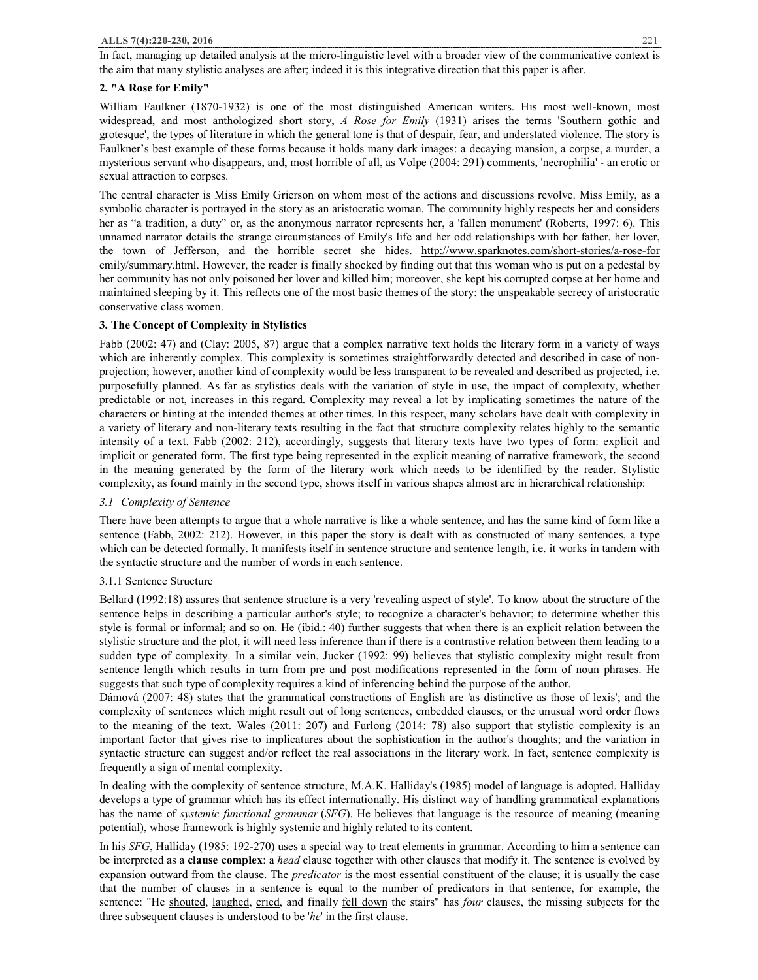In fact, managing up detailed analysis at the micro-linguistic level with a broader view of the communicative context is the aim that many stylistic analyses are after; indeed it is this integrative direction that this paper is after.

# **2. "A Rose for Emily"**

William Faulkner (1870-1932) is one of the most distinguished American writers. His most well-known, most widespread, and most anthologized short story, *A Rose for Emily* (1931) arises the terms 'Southern gothic and grotesque', the types of literature in which the general tone is that of despair, fear, and understated violence. The story is Faulkner's best example of these forms because it holds many dark images: a decaying mansion, a corpse, a murder, a mysterious servant who disappears, and, most horrible of all, as Volpe (2004: 291) comments, 'necrophilia' - an erotic or sexual attraction to corpses.

The central character is Miss Emily Grierson on whom most of the actions and discussions revolve. Miss Emily, as a symbolic character is portrayed in the story as an aristocratic woman. The community highly respects her and considers her as "a tradition, a duty" or, as the anonymous narrator represents her, a 'fallen monument' (Roberts, 1997: 6). This unnamed narrator details the strange circumstances of Emily's life and her odd relationships with her father, her lover, the town of Jefferson, and the horrible secret she hides. http://www.sparknotes.com/short-stories/a-rose-for emily/summary.html. However, the reader is finally shocked by finding out that this woman who is put on a pedestal by her community has not only poisoned her lover and killed him; moreover, she kept his corrupted corpse at her home and maintained sleeping by it. This reflects one of the most basic themes of the story: the unspeakable secrecy of aristocratic conservative class women.

# **3. The Concept of Complexity in Stylistics**

Fabb (2002: 47) and (Clay: 2005, 87) argue that a complex narrative text holds the literary form in a variety of ways which are inherently complex. This complexity is sometimes straightforwardly detected and described in case of nonprojection; however, another kind of complexity would be less transparent to be revealed and described as projected, i.e. purposefully planned. As far as stylistics deals with the variation of style in use, the impact of complexity, whether predictable or not, increases in this regard. Complexity may reveal a lot by implicating sometimes the nature of the characters or hinting at the intended themes at other times. In this respect, many scholars have dealt with complexity in a variety of literary and non-literary texts resulting in the fact that structure complexity relates highly to the semantic intensity of a text. Fabb (2002: 212), accordingly, suggests that literary texts have two types of form: explicit and implicit or generated form. The first type being represented in the explicit meaning of narrative framework, the second in the meaning generated by the form of the literary work which needs to be identified by the reader. Stylistic complexity, as found mainly in the second type, shows itself in various shapes almost are in hierarchical relationship:

# *3.1 Complexity of Sentence*

There have been attempts to argue that a whole narrative is like a whole sentence, and has the same kind of form like a sentence (Fabb, 2002: 212). However, in this paper the story is dealt with as constructed of many sentences, a type which can be detected formally. It manifests itself in sentence structure and sentence length, i.e. it works in tandem with the syntactic structure and the number of words in each sentence.

# 3.1.1 Sentence Structure

Bellard (1992:18) assures that sentence structure is a very 'revealing aspect of style'. To know about the structure of the sentence helps in describing a particular author's style; to recognize a character's behavior; to determine whether this style is formal or informal; and so on. He (ibid.: 40) further suggests that when there is an explicit relation between the stylistic structure and the plot, it will need less inference than if there is a contrastive relation between them leading to a sudden type of complexity. In a similar vein, Jucker (1992: 99) believes that stylistic complexity might result from sentence length which results in turn from pre and post modifications represented in the form of noun phrases. He suggests that such type of complexity requires a kind of inferencing behind the purpose of the author.

Dámová (2007: 48) states that the grammatical constructions of English are 'as distinctive as those of lexis'; and the complexity of sentences which might result out of long sentences, embedded clauses, or the unusual word order flows to the meaning of the text. Wales (2011: 207) and Furlong (2014: 78) also support that stylistic complexity is an important factor that gives rise to implicatures about the sophistication in the author's thoughts; and the variation in syntactic structure can suggest and/or reflect the real associations in the literary work. In fact, sentence complexity is frequently a sign of mental complexity.

In dealing with the complexity of sentence structure, M.A.K. Halliday's (1985) model of language is adopted. Halliday develops a type of grammar which has its effect internationally. His distinct way of handling grammatical explanations has the name of *systemic functional grammar* (*SFG*). He believes that language is the resource of meaning (meaning potential), whose framework is highly systemic and highly related to its content.

In his *SFG*, Halliday (1985: 192-270) uses a special way to treat elements in grammar. According to him a sentence can be interpreted as a **clause complex**: a *head* clause together with other clauses that modify it. The sentence is evolved by expansion outward from the clause. The *predicator* is the most essential constituent of the clause; it is usually the case that the number of clauses in a sentence is equal to the number of predicators in that sentence, for example, the sentence: "He shouted, laughed, cried, and finally fell down the stairs" has *four* clauses, the missing subjects for the three subsequent clauses is understood to be '*he*' in the first clause.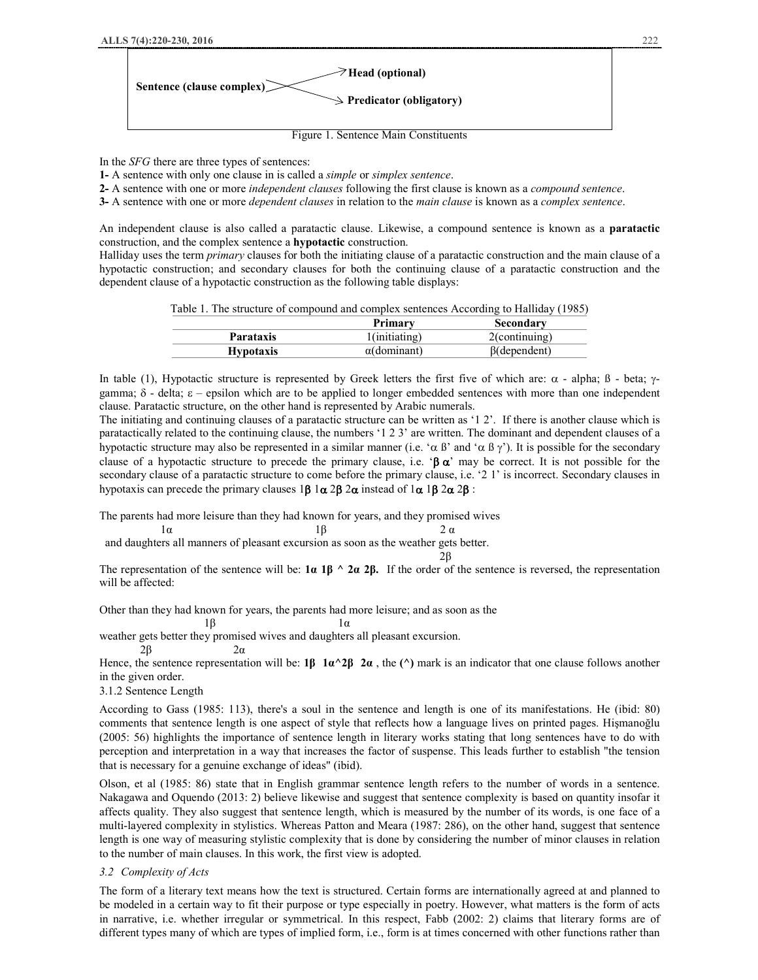

In the *SFG* there are three types of sentences:

**1-** A sentence with only one clause in is called a *simple* or *simplex sentence*.

**2-** A sentence with one or more *independent clauses* following the first clause is known as a *compound sentence*.

**3-** A sentence with one or more *dependent clauses* in relation to the *main clause* is known as a *complex sentence*.

An independent clause is also called a paratactic clause. Likewise, a compound sentence is known as a **paratactic** construction, and the complex sentence a **hypotactic** construction.

Halliday uses the term *primary* clauses for both the initiating clause of a paratactic construction and the main clause of a hypotactic construction; and secondary clauses for both the continuing clause of a paratactic construction and the dependent clause of a hypotactic construction as the following table displays:

|  | Table 1. The structure of compound and complex sentences According to Halliday (1985) |  |  |
|--|---------------------------------------------------------------------------------------|--|--|
|--|---------------------------------------------------------------------------------------|--|--|

|                  | Primary             | Secondary           |
|------------------|---------------------|---------------------|
| Parataxis        | l(initiating)       | $2$ (continuing)    |
| <b>Hypotaxis</b> | $\alpha$ (dominant) | $\beta$ (dependent) |

In table (1), Hypotactic structure is represented by Greek letters the first five of which are:  $\alpha$  - alpha;  $\beta$  - beta;  $\gamma$ gamma;  $\delta$  - delta;  $\varepsilon$  – epsilon which are to be applied to longer embedded sentences with more than one independent clause. Paratactic structure, on the other hand is represented by Arabic numerals.

The initiating and continuing clauses of a paratactic structure can be written as '1 2'. If there is another clause which is paratactically related to the continuing clause, the numbers '1 2 3' are written. The dominant and dependent clauses of a hypotactic structure may also be represented in a similar manner (i.e. ' $\alpha \beta$ ' and ' $\alpha \beta \gamma$ '). It is possible for the secondary clause of a hypotactic structure to precede the primary clause, i.e. ' $\beta \alpha'$  may be correct. It is not possible for the secondary clause of a paratactic structure to come before the primary clause, i.e. '2 1' is incorrect. Secondary clauses in hypotaxis can precede the primary clauses  $1\beta$   $1\alpha$   $2\beta$   $2\alpha$  instead of  $1\alpha$   $1\beta$   $2\alpha$   $2\beta$ :

The parents had more leisure than they had known for years, and they promised wives

 $1α$  1β 2 α and daughters all manners of pleasant excursion as soon as the weather gets better.

 $2β$ 

The representation of the sentence will be:  $1\alpha 1\beta \wedge 2\alpha 2\beta$ . If the order of the sentence is reversed, the representation will be affected:

Other than they had known for years, the parents had more leisure; and as soon as the

 $1\beta$  1  $\alpha$ 

weather gets better they promised wives and daughters all pleasant excursion.

 $2\beta$  2α

Hence, the sentence representation will be:  $1\beta \cdot 1a^2\beta \cdot 2a$ , the ( $\hat{ }$ ) mark is an indicator that one clause follows another in the given order.

3.1.2 Sentence Length

According to Gass (1985: 113), there's a soul in the sentence and length is one of its manifestations. He (ibid: 80) comments that sentence length is one aspect of style that reflects how a language lives on printed pages. Hişmanoğlu (2005: 56) highlights the importance of sentence length in literary works stating that long sentences have to do with perception and interpretation in a way that increases the factor of suspense. This leads further to establish "the tension that is necessary for a genuine exchange of ideas" (ibid).

Olson, et al (1985: 86) state that in English grammar sentence length refers to the number of words in a sentence. Nakagawa and Oquendo (2013: 2) believe likewise and suggest that sentence complexity is based on quantity insofar it affects quality. They also suggest that sentence length, which is measured by the number of its words, is one face of a multi-layered complexity in stylistics. Whereas Patton and Meara (1987: 286), on the other hand, suggest that sentence length is one way of measuring stylistic complexity that is done by considering the number of minor clauses in relation to the number of main clauses. In this work, the first view is adopted.

## *3.2 Complexity of Acts*

The form of a literary text means how the text is structured. Certain forms are internationally agreed at and planned to be modeled in a certain way to fit their purpose or type especially in poetry. However, what matters is the form of acts in narrative, i.e. whether irregular or symmetrical. In this respect, Fabb (2002: 2) claims that literary forms are of different types many of which are types of implied form, i.e., form is at times concerned with other functions rather than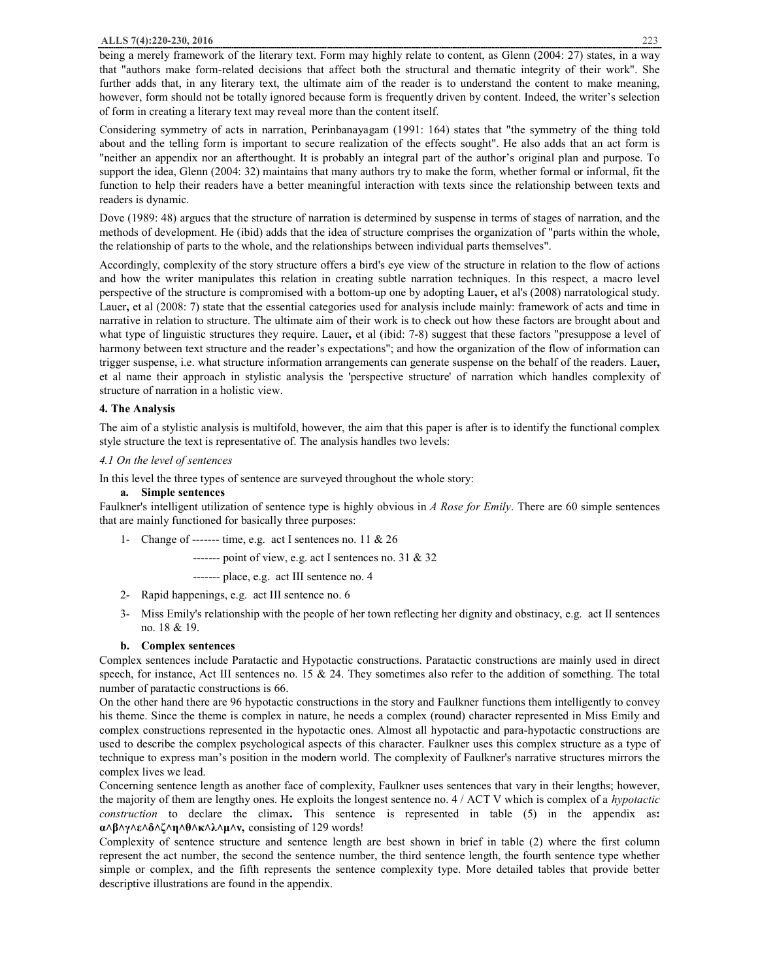being a merely framework of the literary text. Form may highly relate to content, as Glenn (2004: 27) states, in a way that "authors make form-related decisions that affect both the structural and thematic integrity of their work". She further adds that, in any literary text, the ultimate aim of the reader is to understand the content to make meaning, however, form should not be totally ignored because form is frequently driven by content. Indeed, the writer's selection of form in creating a literary text may reveal more than the content itself.

Considering symmetry of acts in narration, Perinbanayagam (1991: 164) states that "the symmetry of the thing told about and the telling form is important to secure realization of the effects sought". He also adds that an act form is "neither an appendix nor an afterthought. It is probably an integral part of the author's original plan and purpose. To support the idea, Glenn (2004: 32) maintains that many authors try to make the form, whether formal or informal, fit the function to help their readers have a better meaningful interaction with texts since the relationship between texts and readers is dynamic.

Dove (1989: 48) argues that the structure of narration is determined by suspense in terms of stages of narration, and the methods of development. He (ibid) adds that the idea of structure comprises the organization of "parts within the whole, the relationship of parts to the whole, and the relationships between individual parts themselves".

Accordingly, complexity of the story structure offers a bird's eye view of the structure in relation to the flow of actions and how the writer manipulates this relation in creating subtle narration techniques. In this respect, a macro level perspective of the structure is compromised with a bottom-up one by adopting Lauer**,** et al's (2008) narratological study. Lauer, et al (2008: 7) state that the essential categories used for analysis include mainly: framework of acts and time in narrative in relation to structure. The ultimate aim of their work is to check out how these factors are brought about and what type of linguistic structures they require. Lauer**,** et al (ibid: 7-8) suggest that these factors "presuppose a level of harmony between text structure and the reader's expectations"; and how the organization of the flow of information can trigger suspense, i.e. what structure information arrangements can generate suspense on the behalf of the readers. Lauer**,**  et al name their approach in stylistic analysis the 'perspective structure' of narration which handles complexity of structure of narration in a holistic view.

#### **4. The Analysis**

The aim of a stylistic analysis is multifold, however, the aim that this paper is after is to identify the functional complex style structure the text is representative of. The analysis handles two levels:

#### *4.1 On the level of sentences*

In this level the three types of sentence are surveyed throughout the whole story:

#### **a. Simple sentences**

Faulkner's intelligent utilization of sentence type is highly obvious in *A Rose for Emily*. There are 60 simple sentences that are mainly functioned for basically three purposes:

1- Change of ------- time, e.g. act I sentences no. 11  $& 26$ 

------- point of view, e.g. act I sentences no. 31 & 32

------- place, e.g. act III sentence no. 4

- 2- Rapid happenings, e.g. act III sentence no. 6
- 3- Miss Emily's relationship with the people of her town reflecting her dignity and obstinacy, e.g. act II sentences no. 18 & 19.

#### **b. Complex sentences**

Complex sentences include Paratactic and Hypotactic constructions. Paratactic constructions are mainly used in direct speech, for instance, Act III sentences no. 15  $\&$  24. They sometimes also refer to the addition of something. The total number of paratactic constructions is 66.

On the other hand there are 96 hypotactic constructions in the story and Faulkner functions them intelligently to convey his theme. Since the theme is complex in nature, he needs a complex (round) character represented in Miss Emily and complex constructions represented in the hypotactic ones. Almost all hypotactic and para-hypotactic constructions are used to describe the complex psychological aspects of this character. Faulkner uses this complex structure as a type of technique to express man's position in the modern world. The complexity of Faulkner's narrative structures mirrors the complex lives we lead.

Concerning sentence length as another face of complexity, Faulkner uses sentences that vary in their lengths; however, the majority of them are lengthy ones. He exploits the longest sentence no. 4 / ACT V which is complex of a *hypotactic construction* to declare the climax**.** This sentence is represented in table (5) in the appendix as**: α˄β˄γ˄ε˄δ˄ζ˄η˄θ˄κ˄λ˄μ˄ν,** consisting of 129 words!

Complexity of sentence structure and sentence length are best shown in brief in table (2) where the first column represent the act number, the second the sentence number, the third sentence length, the fourth sentence type whether simple or complex, and the fifth represents the sentence complexity type. More detailed tables that provide better descriptive illustrations are found in the appendix.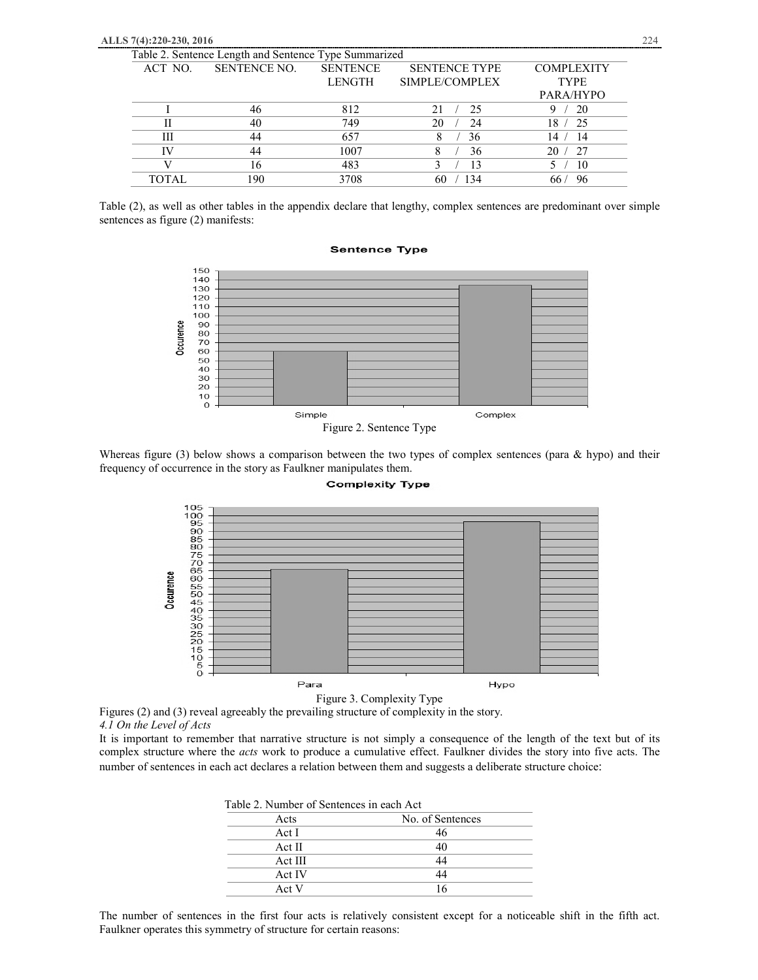|         | Table 2. Sentence Length and Sentence Type Summarized |                 |                      |                   |
|---------|-------------------------------------------------------|-----------------|----------------------|-------------------|
| ACT NO. | <b>SENTENCE NO.</b>                                   | <b>SENTENCE</b> | <b>SENTENCE TYPE</b> | <b>COMPLEXITY</b> |
|         |                                                       | <b>LENGTH</b>   | SIMPLE/COMPLEX       | <b>TYPE</b>       |
|         |                                                       |                 |                      | PARA/HYPO         |
|         |                                                       | 812             | 25                   | -20               |
|         | 40                                                    | 749             | 20<br>24             | 18.<br>- 25       |
| Ш       | 44                                                    | 657             | 36                   | - 14<br>14.       |
|         | 44                                                    | 1007            | 36                   | 27<br>20          |
|         | 16                                                    | 483             | 13                   | 10                |
| TOTAL   | 190                                                   | 3708            | 34                   | 96                |

Table (2), as well as other tables in the appendix declare that lengthy, complex sentences are predominant over simple sentences as figure (2) manifests:

#### **Sentence Type**



Whereas figure (3) below shows a comparison between the two types of complex sentences (para & hypo) and their frequency of occurrence in the story as Faulkner manipulates them.



**Complexity Type** 

Figure 3. Complexity Type

Figures (2) and (3) reveal agreeably the prevailing structure of complexity in the story. *4.1 On the Level of Acts* 

It is important to remember that narrative structure is not simply a consequence of the length of the text but of its complex structure where the *acts* work to produce a cumulative effect. Faulkner divides the story into five acts. The number of sentences in each act declares a relation between them and suggests a deliberate structure choice:

| Table 2. Number of Sentences in each Act |                  |
|------------------------------------------|------------------|
| Acts                                     | No. of Sentences |
| Act I                                    | 46               |
| Act II                                   | 40               |
| Act III                                  | 44               |
| Act IV                                   | 44               |
| Act V                                    | 16               |

The number of sentences in the first four acts is relatively consistent except for a noticeable shift in the fifth act. Faulkner operates this symmetry of structure for certain reasons: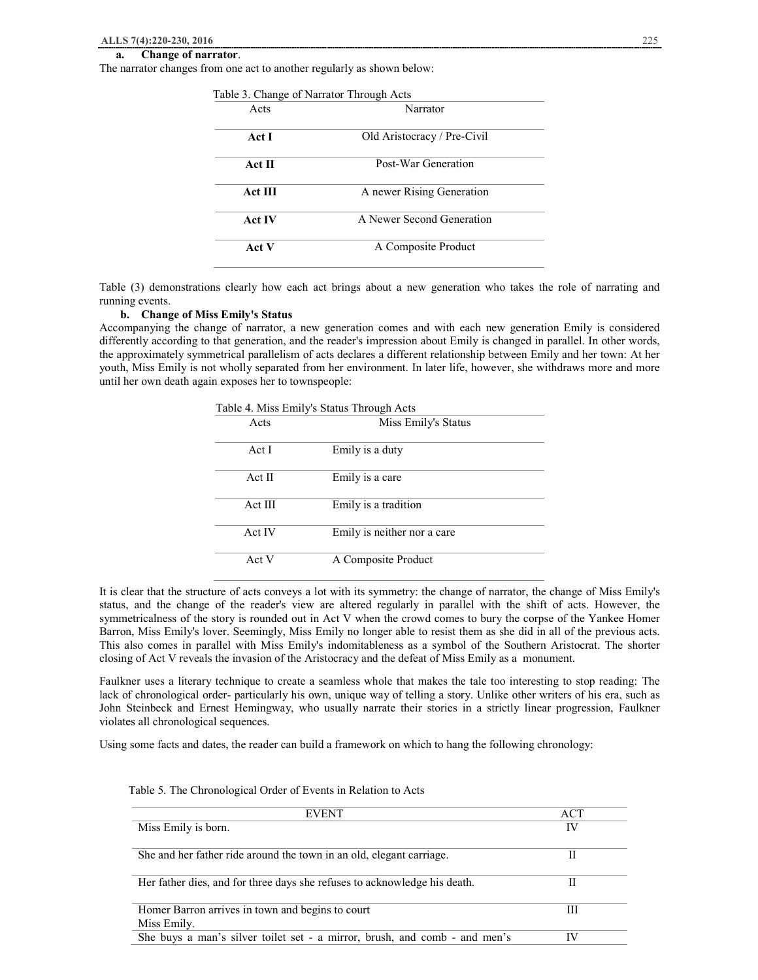#### **a. Change of narrator**.

The narrator changes from one act to another regularly as shown below:

|                | Table 3. Change of Narrator Through Acts |
|----------------|------------------------------------------|
| Acts           | Narrator                                 |
| Act I          | Old Aristocracy / Pre-Civil              |
| Act II         | Post-War Generation                      |
| <b>Act III</b> | A newer Rising Generation                |
| <b>Act IV</b>  | A Newer Second Generation                |
| Act V          | A Composite Product                      |

Table (3) demonstrations clearly how each act brings about a new generation who takes the role of narrating and running events.

#### **b. Change of Miss Emily's Status**

Accompanying the change of narrator, a new generation comes and with each new generation Emily is considered differently according to that generation, and the reader's impression about Emily is changed in parallel. In other words, the approximately symmetrical parallelism of acts declares a different relationship between Emily and her town: At her youth, Miss Emily is not wholly separated from her environment. In later life, however, she withdraws more and more until her own death again exposes her to townspeople:

|  |  |  | Table 4. Miss Emily's Status Through Acts |  |
|--|--|--|-------------------------------------------|--|
|--|--|--|-------------------------------------------|--|

| Acts    | Miss Emily's Status         |
|---------|-----------------------------|
| Act I   | Emily is a duty             |
| Act II  | Emily is a care             |
| Act III | Emily is a tradition        |
| Act IV  | Emily is neither nor a care |
| Act V   | A Composite Product         |

It is clear that the structure of acts conveys a lot with its symmetry: the change of narrator, the change of Miss Emily's status, and the change of the reader's view are altered regularly in parallel with the shift of acts. However, the symmetricalness of the story is rounded out in Act V when the crowd comes to bury the corpse of the Yankee Homer Barron, Miss Emily's lover. Seemingly, Miss Emily no longer able to resist them as she did in all of the previous acts. This also comes in parallel with Miss Emily's indomitableness as a symbol of the Southern Aristocrat. The shorter closing of Act V reveals the invasion of the Aristocracy and the defeat of Miss Emily as a monument.

Faulkner uses a literary technique to create a seamless whole that makes the tale too interesting to stop reading: The lack of chronological order- particularly his own, unique way of telling a story. Unlike other writers of his era, such as John Steinbeck and Ernest Hemingway, who usually narrate their stories in a strictly linear progression, Faulkner violates all chronological sequences.

Using some facts and dates, the reader can build a framework on which to hang the following chronology:

| <b>EVENT</b>                                                               | ACT |
|----------------------------------------------------------------------------|-----|
| Miss Emily is born.                                                        | IV  |
| She and her father ride around the town in an old, elegant carriage.       |     |
|                                                                            |     |
| Her father dies, and for three days she refuses to acknowledge his death.  |     |
|                                                                            |     |
| Homer Barron arrives in town and begins to court                           | Ш   |
| Miss Emily.                                                                |     |
| She buys a man's silver toilet set - a mirror, brush, and comb - and men's | IV  |

#### Table 5. The Chronological Order of Events in Relation to Acts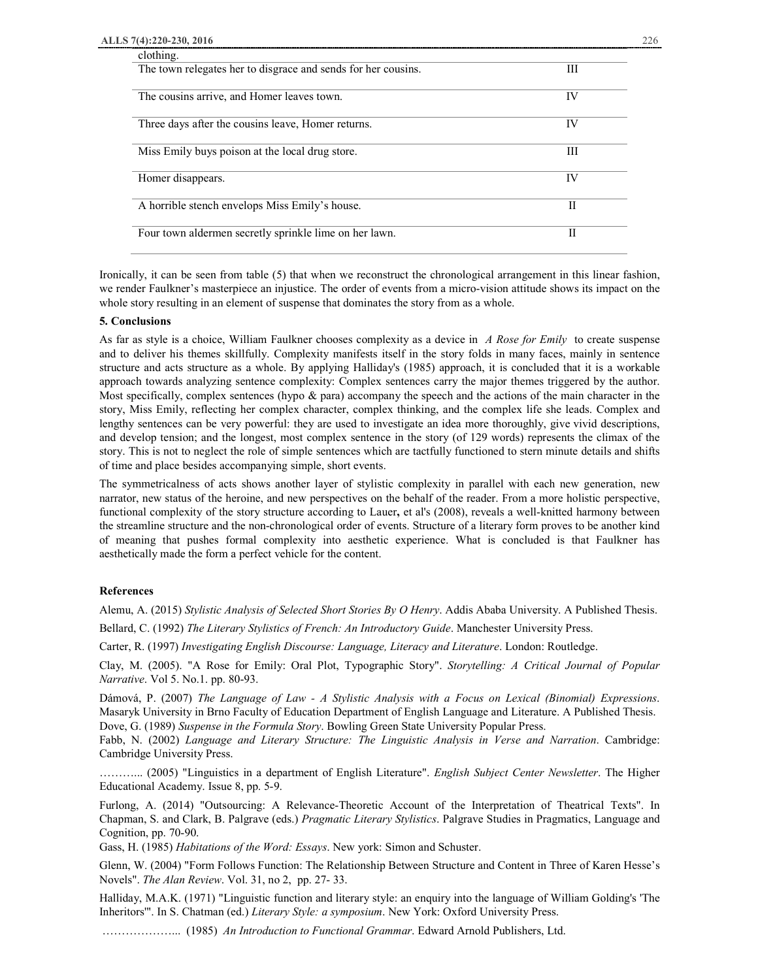| clothing.                                                     |    |
|---------------------------------------------------------------|----|
| The town relegates her to disgrace and sends for her cousins. | Ш  |
|                                                               |    |
| The cousins arrive, and Homer leaves town.                    | IV |
|                                                               |    |
| Three days after the cousins leave, Homer returns.            | IV |
|                                                               |    |
| Miss Emily buys poison at the local drug store.               | Ш  |
|                                                               |    |
| Homer disappears.                                             | IV |
|                                                               |    |
| A horrible stench envelops Miss Emily's house.                | Н  |
|                                                               |    |
| Four town aldermen secretly sprinkle lime on her lawn.        | Н  |
|                                                               |    |

Ironically, it can be seen from table (5) that when we reconstruct the chronological arrangement in this linear fashion, we render Faulkner's masterpiece an injustice. The order of events from a micro-vision attitude shows its impact on the whole story resulting in an element of suspense that dominates the story from as a whole.

#### **5. Conclusions**

As far as style is a choice, William Faulkner chooses complexity as a device in *A Rose for Emily* to create suspense and to deliver his themes skillfully. Complexity manifests itself in the story folds in many faces, mainly in sentence structure and acts structure as a whole. By applying Halliday's (1985) approach, it is concluded that it is a workable approach towards analyzing sentence complexity: Complex sentences carry the major themes triggered by the author. Most specifically, complex sentences (hypo  $\&$  para) accompany the speech and the actions of the main character in the story, Miss Emily, reflecting her complex character, complex thinking, and the complex life she leads. Complex and lengthy sentences can be very powerful: they are used to investigate an idea more thoroughly, give vivid descriptions, and develop tension; and the longest, most complex sentence in the story (of 129 words) represents the climax of the story. This is not to neglect the role of simple sentences which are tactfully functioned to stern minute details and shifts of time and place besides accompanying simple, short events.

The symmetricalness of acts shows another layer of stylistic complexity in parallel with each new generation, new narrator, new status of the heroine, and new perspectives on the behalf of the reader. From a more holistic perspective, functional complexity of the story structure according to Lauer**,** et al's (2008), reveals a well-knitted harmony between the streamline structure and the non-chronological order of events. Structure of a literary form proves to be another kind of meaning that pushes formal complexity into aesthetic experience. What is concluded is that Faulkner has aesthetically made the form a perfect vehicle for the content.

#### **References**

Alemu, A. (2015) *Stylistic Analysis of Selected Short Stories By O Henry*. Addis Ababa University. A Published Thesis.

Bellard, C. (1992) *The Literary Stylistics of French: An Introductory Guide*. Manchester University Press.

Carter, R. (1997) *Investigating English Discourse: Language, Literacy and Literature*. London: Routledge.

Clay, M. (2005). "A Rose for Emily: Oral Plot, Typographic Story". *Storytelling: A Critical Journal of Popular Narrative*. Vol 5. No.1. pp. 80-93.

Dámová, P. (2007) *The Language of Law - A Stylistic Analysis with a Focus on Lexical (Binomial) Expressions*. Masaryk University in Brno Faculty of Education Department of English Language and Literature. A Published Thesis. Dove, G. (1989) *Suspense in the Formula Story*. Bowling Green State University Popular Press.

Fabb, N. (2002) *Language and Literary Structure: The Linguistic Analysis in Verse and Narration*. Cambridge: Cambridge University Press.

………... (2005) "Linguistics in a department of English Literature". *English Subject Center Newsletter*. The Higher Educational Academy. Issue 8, pp. 5-9.

Furlong, A. (2014) "Outsourcing: A Relevance-Theoretic Account of the Interpretation of Theatrical Texts". In Chapman, S. and Clark, B. Palgrave (eds.) *Pragmatic Literary Stylistics*. Palgrave Studies in Pragmatics, Language and Cognition, pp. 70-90.

Gass, H. (1985) *Habitations of the Word: Essays*. New york: Simon and Schuster.

Glenn, W. (2004) "Form Follows Function: The Relationship Between Structure and Content in Three of Karen Hesse's Novels". *The Alan Review*. Vol. 31, no 2, pp. 27- 33.

Halliday, M.A.K. (1971) "Linguistic function and literary style: an enquiry into the language of William Golding's 'The Inheritors'". In S. Chatman (ed.) *Literary Style: a symposium*. New York: Oxford University Press.

………………... (1985) *An Introduction to Functional Grammar*. Edward Arnold Publishers, Ltd.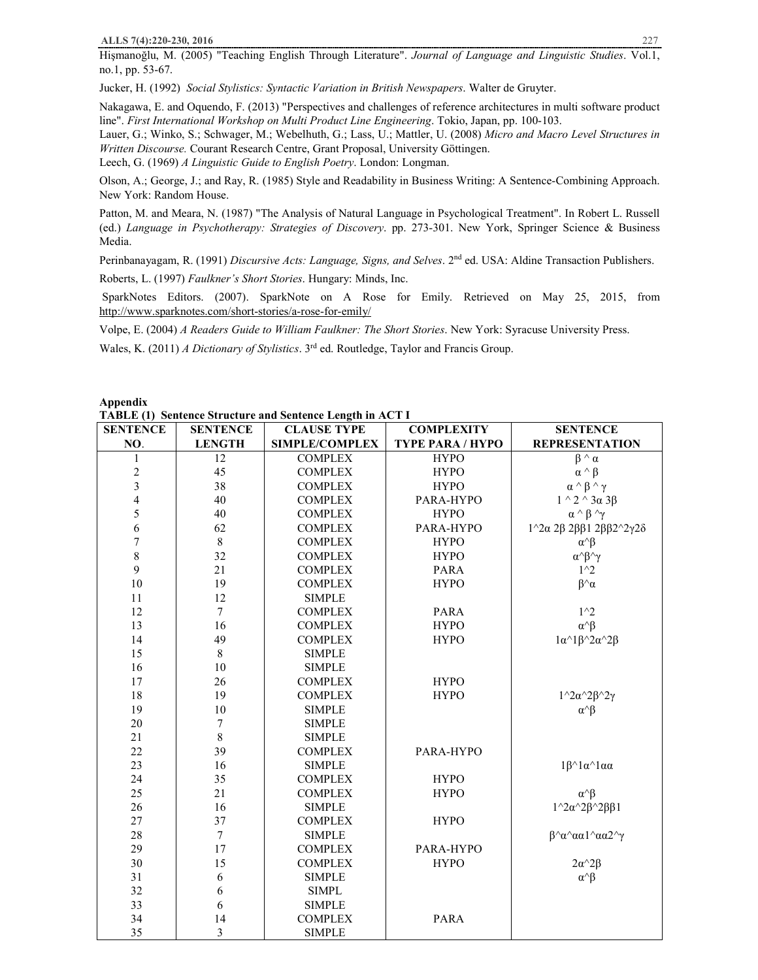Hişmanoğlu, M. (2005) "Teaching English Through Literature". *Journal of Language and Linguistic Studies*. Vol.1, no.1, pp. 53-67.

Jucker, H. (1992) *Social Stylistics: Syntactic Variation in British Newspapers*. Walter de Gruyter.

Nakagawa, E. and Oquendo, F. (2013) "Perspectives and challenges of reference architectures in multi software product line". *First International Workshop on Multi Product Line Engineering*. Tokio, Japan, pp. 100-103.

Lauer, G.; Winko, S.; Schwager, M.; Webelhuth, G.; Lass, U.; Mattler, U. (2008) *Micro and Macro Level Structures in Written Discourse.* Courant Research Centre, Grant Proposal, University Göttingen.

Leech, G. (1969) *A Linguistic Guide to English Poetry*. London: Longman.

Olson, A.; George, J.; and Ray, R. (1985) Style and Readability in Business Writing: A Sentence-Combining Approach. New York: Random House.

Patton, M. and Meara, N. (1987) "The Analysis of Natural Language in Psychological Treatment". In Robert L. Russell (ed.) *Language in Psychotherapy: Strategies of Discovery*. pp. 273-301. New York, Springer Science & Business Media.

Perinbanayagam, R. (1991) *Discursive Acts: Language, Signs, and Selves*. 2nd ed. USA: Aldine Transaction Publishers.

Roberts, L. (1997) *Faulkner's Short Stories*. Hungary: Minds, Inc.

SparkNotes Editors. (2007). SparkNote on A Rose for Emily. Retrieved on May 25, 2015, from http://www.sparknotes.com/short-stories/a-rose-for-emily/

Volpe, E. (2004) *A Readers Guide to William Faulkner: The Short Stories*. New York: Syracuse University Press.

Wales, K. (2011) *A Dictionary of Stylistics*. 3rd ed. Routledge, Taylor and Francis Group.

**Appendix** 

**TABLE (1) Sentence Structure and Sentence Length in ACT I**

| <b>SENTENCE</b>         | <b>SENTENCE</b>  | <b>CLAUSE TYPE</b>    | <b>COMPLEXITY</b>       | <b>SENTENCE</b>                                         |
|-------------------------|------------------|-----------------------|-------------------------|---------------------------------------------------------|
| NO.                     | <b>LENGTH</b>    | <b>SIMPLE/COMPLEX</b> | <b>TYPE PARA / HYPO</b> | <b>REPRESENTATION</b>                                   |
| 1                       | 12               | <b>COMPLEX</b>        | <b>HYPO</b>             | $\beta \wedge \alpha$                                   |
| $\overline{c}$          | 45               | <b>COMPLEX</b>        | <b>HYPO</b>             | $\alpha \wedge \beta$                                   |
| $\overline{\mathbf{3}}$ | 38               | <b>COMPLEX</b>        | <b>HYPO</b>             | $\alpha \wedge \beta \wedge \gamma$                     |
| $\overline{4}$          | 40               | <b>COMPLEX</b>        | PARA-HYPO               | $1^{\wedge} 2^{\wedge} 3\alpha 3\beta$                  |
| 5                       | 40               | <b>COMPLEX</b>        | <b>HYPO</b>             | $\alpha \wedge \beta \wedge \gamma$                     |
| 6                       | 62               | <b>COMPLEX</b>        | PARA-HYPO               | $1^2$ 2α 2β 2ββ1 2ββ2 <sup>2</sup> γ2δ                  |
| $\sqrt{ }$              | $\,8\,$          | <b>COMPLEX</b>        | <b>HYPO</b>             | $\alpha^{\wedge}\beta$                                  |
| 8                       | 32               | <b>COMPLEX</b>        | <b>HYPO</b>             | $\alpha \land \beta \land \gamma$                       |
| $\mathbf{9}$            | 21               | <b>COMPLEX</b>        | <b>PARA</b>             | $1^{\wedge}2$                                           |
| 10                      | 19               | <b>COMPLEX</b>        | <b>HYPO</b>             | $\beta^{\wedge}\alpha$                                  |
| 11                      | 12               | <b>SIMPLE</b>         |                         |                                                         |
| 12                      | $\tau$           | <b>COMPLEX</b>        | <b>PARA</b>             | $1^{\wedge}2$                                           |
| 13                      | 16               | <b>COMPLEX</b>        | <b>HYPO</b>             | $\alpha^{\wedge}\beta$                                  |
| 14                      | 49               | <b>COMPLEX</b>        | <b>HYPO</b>             | $1\alpha^{\wedge}1\beta^{\wedge}2\alpha^{\wedge}2\beta$ |
| 15                      | $\,$ 8 $\,$      | <b>SIMPLE</b>         |                         |                                                         |
| 16                      | 10               | <b>SIMPLE</b>         |                         |                                                         |
| 17                      | 26               | <b>COMPLEX</b>        | <b>HYPO</b>             |                                                         |
| 18                      | 19               | <b>COMPLEX</b>        | <b>HYPO</b>             | $1^{\wedge}2\alpha^{\wedge}2\beta^{\wedge}2\gamma$      |
| 19                      | 10               | <b>SIMPLE</b>         |                         | $\alpha^{\wedge}\beta$                                  |
| 20                      | 7                | <b>SIMPLE</b>         |                         |                                                         |
| 21                      | 8                | <b>SIMPLE</b>         |                         |                                                         |
| 22                      | 39               | <b>COMPLEX</b>        | PARA-HYPO               |                                                         |
| 23                      | 16               | <b>SIMPLE</b>         |                         | $1\beta^{\wedge}1\alpha^{\wedge}1\alpha\alpha$          |
| 24                      | 35               | <b>COMPLEX</b>        | <b>HYPO</b>             |                                                         |
| 25                      | 21               | <b>COMPLEX</b>        | <b>HYPO</b>             | $\alpha^{\wedge}\beta$                                  |
| 26                      | 16               | <b>SIMPLE</b>         |                         | $1^{\wedge}2\alpha^{\wedge}2\beta^{\wedge}2\beta\beta1$ |
| 27                      | 37               | <b>COMPLEX</b>        | <b>HYPO</b>             |                                                         |
| 28                      | $\boldsymbol{7}$ | <b>SIMPLE</b>         |                         | $β^{\wedge}α^{\wedge}αα1^{\wedge}αα2^{\wedge}γ$         |
| 29                      | 17               | <b>COMPLEX</b>        | PARA-HYPO               |                                                         |
| 30                      | 15               | <b>COMPLEX</b>        | <b>HYPO</b>             | $2\alpha^2 2\beta$                                      |
| 31                      | 6                | <b>SIMPLE</b>         |                         | $\alpha^{\wedge}\beta$                                  |
| 32                      | 6                | <b>SIMPL</b>          |                         |                                                         |
| 33                      | 6                | <b>SIMPLE</b>         |                         |                                                         |
| 34                      | 14               | <b>COMPLEX</b>        | <b>PARA</b>             |                                                         |
| 35                      | 3                | <b>SIMPLE</b>         |                         |                                                         |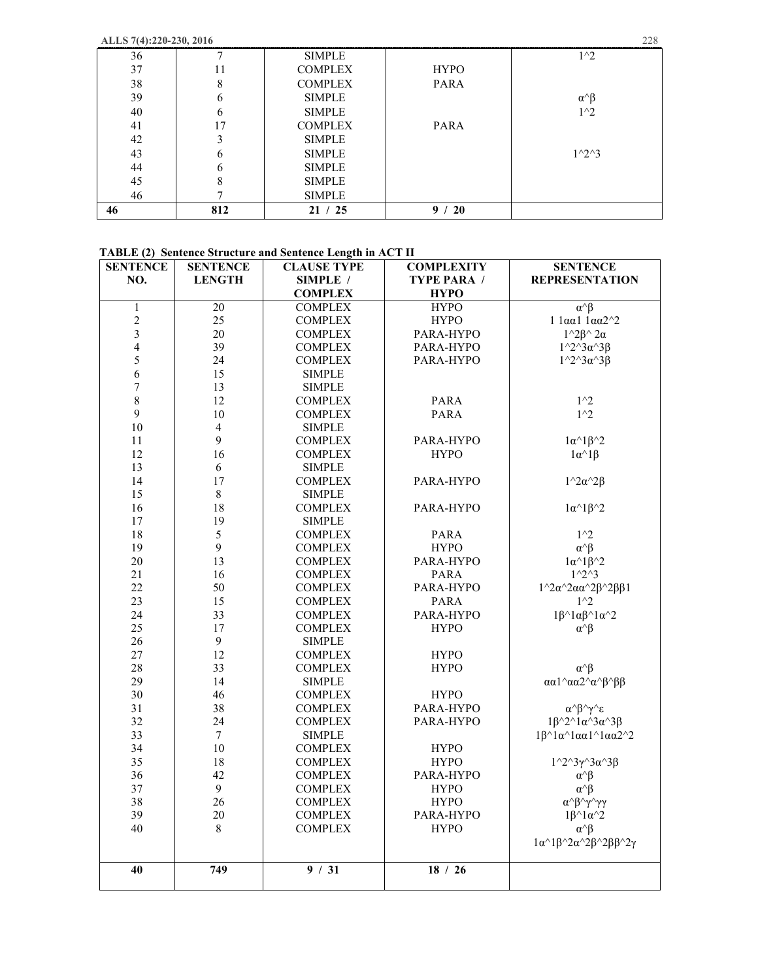**ALLS 7(4):220-230, 2016** 228

| 36 |     | <b>SIMPLE</b>  |                | $1^{\wedge}2$           |
|----|-----|----------------|----------------|-------------------------|
| 37 | 11  | <b>COMPLEX</b> | <b>HYPO</b>    |                         |
| 38 | 8   | <b>COMPLEX</b> | PARA           |                         |
| 39 | 6   | <b>SIMPLE</b>  |                | $\alpha$ $\beta$        |
| 40 | 6   | <b>SIMPLE</b>  |                | $1^{\wedge}2$           |
| 41 | 17  | <b>COMPLEX</b> | PARA           |                         |
| 42 | 3   | <b>SIMPLE</b>  |                |                         |
| 43 | 6   | <b>SIMPLE</b>  |                | $1^{\wedge}2^{\wedge}3$ |
| 44 | 6   | <b>SIMPLE</b>  |                |                         |
| 45 | 8   | <b>SIMPLE</b>  |                |                         |
| 46 |     | <b>SIMPLE</b>  |                |                         |
| 46 | 812 | 21 / 25        | <b>20</b><br>9 |                         |

# **TABLE (2) Sentence Structure and Sentence Length in ACT II**

| <b>SENTENCE</b>  | <b>SENTENCE</b> | <b>CLAUSE TYPE</b> | <b>COMPLEXITY</b>  | <b>SENTENCE</b>                                                               |
|------------------|-----------------|--------------------|--------------------|-------------------------------------------------------------------------------|
| NO.              | <b>LENGTH</b>   | SIMPLE /           | <b>TYPE PARA /</b> | <b>REPRESENTATION</b>                                                         |
|                  |                 | <b>COMPLEX</b>     | <b>HYPO</b>        |                                                                               |
| $\mathbf{1}$     | $\overline{20}$ | <b>COMPLEX</b>     | <b>HYPO</b>        | $\alpha^{\wedge}\beta$                                                        |
| $\sqrt{2}$       | 25              | <b>COMPLEX</b>     | <b>HYPO</b>        | $1$ 1αα1 1αα2 $^{\wedge}2$                                                    |
| $\overline{3}$   | 20              | <b>COMPLEX</b>     | PARA-HYPO          | $1^{\wedge}2\beta^{\wedge}2\alpha$                                            |
| $\overline{4}$   | 39              | <b>COMPLEX</b>     | PARA-HYPO          | $1^{\wedge}2^{\wedge}3\alpha^{\wedge}3\beta$                                  |
| 5                | 24              | <b>COMPLEX</b>     | PARA-HYPO          | $1^{\wedge}2^{\wedge}3\alpha^{\wedge}3\beta$                                  |
| 6                | 15              | <b>SIMPLE</b>      |                    |                                                                               |
| $\boldsymbol{7}$ | 13              | <b>SIMPLE</b>      |                    |                                                                               |
| 8                | 12              | <b>COMPLEX</b>     | <b>PARA</b>        | $1^{\wedge}2$                                                                 |
| 9                | 10              | <b>COMPLEX</b>     | <b>PARA</b>        | $1^{\wedge}2$                                                                 |
| 10               | $\overline{4}$  | <b>SIMPLE</b>      |                    |                                                                               |
| 11               | 9               | <b>COMPLEX</b>     | PARA-HYPO          | $1\alpha^{\wedge}1\beta^{\wedge}2$                                            |
| 12               | 16              | <b>COMPLEX</b>     | <b>HYPO</b>        | $1\alpha^{\wedge}1\beta$                                                      |
| 13               | 6               | <b>SIMPLE</b>      |                    |                                                                               |
| 14               | 17              | <b>COMPLEX</b>     | PARA-HYPO          | $1^{\wedge}2\alpha^{\wedge}2\beta$                                            |
| 15               | $\,8\,$         | <b>SIMPLE</b>      |                    |                                                                               |
| 16               | 18              | <b>COMPLEX</b>     | PARA-HYPO          | $1\alpha^{\wedge}1\beta^{\wedge}2$                                            |
| 17               | 19              | <b>SIMPLE</b>      |                    |                                                                               |
| 18               | 5               | <b>COMPLEX</b>     | <b>PARA</b>        | $1^{\wedge}2$                                                                 |
| 19               | 9               | <b>COMPLEX</b>     | <b>HYPO</b>        | $\alpha^{\wedge}\beta$                                                        |
| $20\,$           | 13              | <b>COMPLEX</b>     | PARA-HYPO          | $1\alpha^{\wedge}1\beta^{\wedge}2$                                            |
| 21               | 16              | <b>COMPLEX</b>     | <b>PARA</b>        | $1^{\wedge}2^{\wedge}3$                                                       |
| 22               | 50              | <b>COMPLEX</b>     | PARA-HYPO          | $1^{\wedge}2\alpha^{\wedge}2\alpha\alpha^{\wedge}2\beta^{\wedge}2\beta\beta1$ |
| 23               | 15              | <b>COMPLEX</b>     | <b>PARA</b>        | $1^{\wedge}2$                                                                 |
| 24               | 33              | <b>COMPLEX</b>     | PARA-HYPO          | $1\beta^{\wedge}1\alpha\beta^{\wedge}1\alpha^{\wedge}2$                       |
| 25               | 17              | <b>COMPLEX</b>     | <b>HYPO</b>        | $\alpha^{\wedge}\beta$                                                        |
| 26               | 9               | <b>SIMPLE</b>      |                    |                                                                               |
| 27               | 12              | <b>COMPLEX</b>     | <b>HYPO</b>        |                                                                               |
| 28               | 33              | <b>COMPLEX</b>     | <b>HYPO</b>        | $\alpha^{\wedge}\beta$                                                        |
| 29               | 14              | <b>SIMPLE</b>      |                    | αα1^αα2^α^β^ββ                                                                |
| 30               | 46              | <b>COMPLEX</b>     | <b>HYPO</b>        |                                                                               |
| 31               | 38              | <b>COMPLEX</b>     | PARA-HYPO          | $\alpha^\wedge\beta^\wedge\gamma^\wedge\epsilon$                              |
| 32               | 24              | <b>COMPLEX</b>     | PARA-HYPO          | $1\beta^2$ <sup>2</sup> $1\alpha^3$ 3 $\alpha^3$ 3 $\beta$                    |
| 33               | $\overline{7}$  | <b>SIMPLE</b>      |                    | $1β^{\wedge}1α^{\wedge}1αα1^{\wedge}1αα2^{\wedge}2$                           |
| 34               | 10              | <b>COMPLEX</b>     | <b>HYPO</b>        |                                                                               |
| 35               | 18              | <b>COMPLEX</b>     | <b>HYPO</b>        | $1^{\wedge}2^{\wedge}3\gamma^{\wedge}3\alpha^{\wedge}3\beta$                  |
| 36               | 42              | <b>COMPLEX</b>     | PARA-HYPO          | $\alpha^{\wedge}\beta$                                                        |
| 37               | 9               | <b>COMPLEX</b>     | <b>HYPO</b>        | $\alpha^{\wedge}\beta$                                                        |
| 38               | 26              | <b>COMPLEX</b>     | <b>HYPO</b>        | $α^\wedgeβ^\wedgeγ^\wedgeγγ$                                                  |
| 39               | 20              | <b>COMPLEX</b>     | PARA-HYPO          | $1\beta^{\wedge}1\alpha^{\wedge}2$                                            |
| 40               | 8               | <b>COMPLEX</b>     | <b>HYPO</b>        | $\alpha^{\wedge}\beta$                                                        |
|                  |                 |                    |                    | $1α^1β^2α^2β^2ββ^2$                                                           |
|                  |                 |                    |                    |                                                                               |
| 40               | 749             | 9/31               | 18 / 26            |                                                                               |
|                  |                 |                    |                    |                                                                               |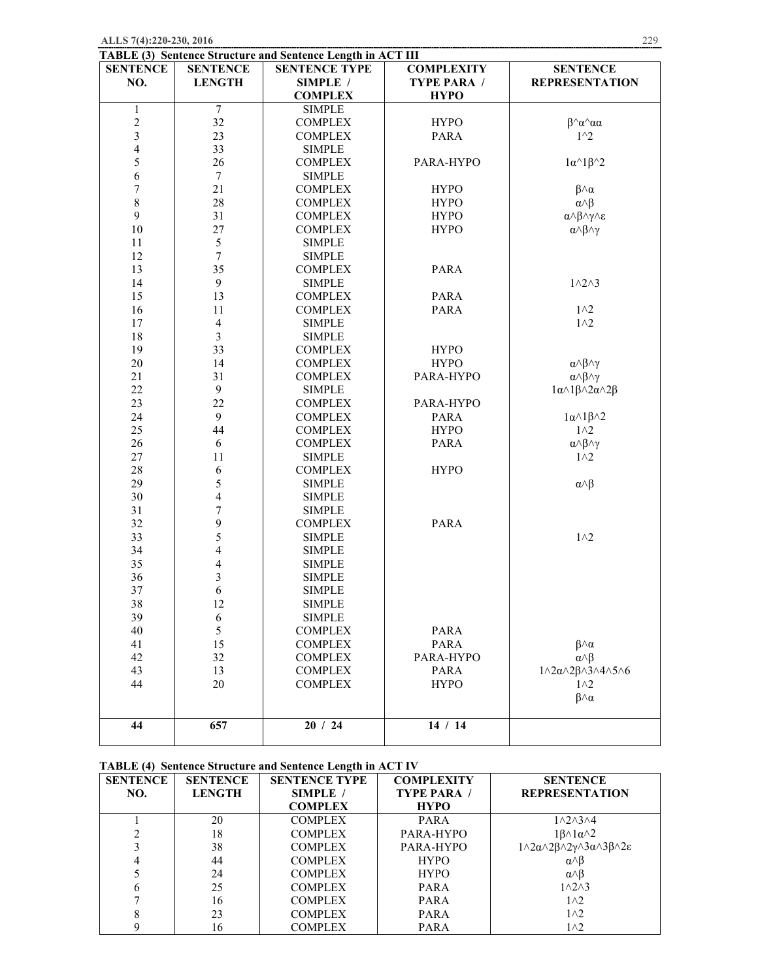| <b>Structure and Sentence Length in ACT III</b> |                      |                    |                                    |  |  |
|-------------------------------------------------|----------------------|--------------------|------------------------------------|--|--|
| TENCE                                           | <b>SENTENCE TYPE</b> | <b>COMPLEXITY</b>  | <b>SENTENCE</b>                    |  |  |
| NGTH                                            | <b>SIMPLE</b> /      | <b>TYPE PARA /</b> | <b>REPRESENTATION</b>              |  |  |
|                                                 | <b>COMPLEX</b>       | <b>HYPO</b>        |                                    |  |  |
| $7\phantom{.0}$                                 | <b>SIMPLE</b>        |                    |                                    |  |  |
| 32                                              | <b>COMPLEX</b>       | <b>HYPO</b>        | β^α^αα                             |  |  |
| 23                                              | <b>COMPLEX</b>       | <b>PARA</b>        | $1^{\wedge}2$                      |  |  |
| 33                                              | <b>SIMPLE</b>        |                    |                                    |  |  |
| 26                                              | <b>COMPLEX</b>       | PARA-HYPO          | $1\alpha^{\wedge}1\beta^{\wedge}2$ |  |  |
|                                                 | <b>SIMPLE</b>        |                    |                                    |  |  |
| 21                                              | <b>COMPLEX</b>       | <b>HYPO</b>        | $\beta \wedge \alpha$              |  |  |
| 28                                              | <b>COMPLEX</b>       | <b>HYPO</b>        | $\alpha \wedge \beta$              |  |  |
| 31                                              | <b>COMPLEX</b>       | <b>HYPO</b>        |                                    |  |  |
| 27                                              | <b>COMPLEX</b>       | <b>HYPO</b>        | α∧β∧γ∧ε<br>α∧β∧γ                   |  |  |
| .5                                              | <b>SIMPLE</b>        |                    |                                    |  |  |
|                                                 | <b>SIMPLE</b>        |                    |                                    |  |  |
| 35                                              | <b>COMPLEX</b>       | <b>PARA</b>        |                                    |  |  |

PARA PARA

|     | <b>TABLE (3) Sentence Structure and Sentence Length in ACT III</b> |                 |                      |            |  |
|-----|--------------------------------------------------------------------|-----------------|----------------------|------------|--|
|     | <b>SENTENCE</b>                                                    | <b>SENTENCE</b> | <b>SENTENCE TYPE</b> | <b>COM</b> |  |
| NO. |                                                                    | <b>LENGTH</b>   | SIMPLE /             | <b>TYP</b> |  |
|     |                                                                    |                 | <b>COMPLEX</b>       |            |  |
|     |                                                                    |                 | <b>SIMPLE</b>        |            |  |
|     |                                                                    | າາ              | <b>COMPLEX</b>       |            |  |

SIMPLE COMPLEX **COMPLEX** SIMPLE

| 44 | 657                      | 20/24          | 14 / 14     |                                                                      |
|----|--------------------------|----------------|-------------|----------------------------------------------------------------------|
|    |                          |                |             |                                                                      |
|    |                          |                |             | $\beta \wedge \alpha$                                                |
| 44 | 20                       | <b>COMPLEX</b> | <b>HYPO</b> | 1 <sub>1</sub>                                                       |
| 43 | 13                       | <b>COMPLEX</b> | <b>PARA</b> | $1 \wedge 2\alpha \wedge 2\beta \wedge 3 \wedge 4 \wedge 5 \wedge 6$ |
| 42 | 32                       | <b>COMPLEX</b> | PARA-HYPO   | $\alpha \wedge \beta$                                                |
| 41 | 15                       | <b>COMPLEX</b> | <b>PARA</b> | $\beta \wedge \alpha$                                                |
| 40 | 5                        | <b>COMPLEX</b> | <b>PARA</b> |                                                                      |
| 39 | 6                        | <b>SIMPLE</b>  |             |                                                                      |
| 38 | 12                       | <b>SIMPLE</b>  |             |                                                                      |
| 37 | 6                        | <b>SIMPLE</b>  |             |                                                                      |
| 36 | $\overline{\mathbf{3}}$  | <b>SIMPLE</b>  |             |                                                                      |
| 35 | 4                        | <b>SIMPLE</b>  |             |                                                                      |
| 34 | $\overline{\mathcal{L}}$ | <b>SIMPLE</b>  |             |                                                                      |
| 33 | 5                        | <b>SIMPLE</b>  |             | 1 <sub>0</sub>                                                       |
| 32 | 9                        | <b>COMPLEX</b> | <b>PARA</b> |                                                                      |
| 31 | $\overline{7}$           | <b>SIMPLE</b>  |             |                                                                      |
| 30 | $\overline{4}$           | <b>SIMPLE</b>  |             |                                                                      |
| 29 | 5                        | <b>SIMPLE</b>  |             | $\alpha \wedge \beta$                                                |
| 28 | 6                        | <b>COMPLEX</b> | <b>HYPO</b> |                                                                      |
| 27 | 11                       | <b>SIMPLE</b>  |             | $1^2$                                                                |
| 26 | 6                        | <b>COMPLEX</b> | <b>PARA</b> | $\alpha \land \beta \land \gamma$                                    |
| 25 | 44                       | <b>COMPLEX</b> | <b>HYPO</b> | $1^2$                                                                |
| 24 | 9                        | <b>COMPLEX</b> | <b>PARA</b> | $1\alpha \wedge 1\beta \wedge 2$                                     |
| 23 | 22                       | <b>COMPLEX</b> | PARA-HYPO   |                                                                      |
| 22 | 9                        | <b>SIMPLE</b>  |             | $1\alpha \wedge 1\beta \wedge 2\alpha \wedge 2\beta$                 |
| 21 | 31                       | <b>COMPLEX</b> | PARA-HYPO   | $\alpha \land \beta \land \gamma$                                    |
| 20 | 14                       | <b>COMPLEX</b> | <b>HYPO</b> | $\alpha \land \beta \land \gamma$                                    |
| 19 | 33                       | <b>COMPLEX</b> | <b>HYPO</b> |                                                                      |
| 18 | 3                        | <b>SIMPLE</b>  |             |                                                                      |

## **TABLE (4) Sentence Structure and Sentence Length in ACT IV**

| <b>SENTENCE</b> | <b>SENTENCE</b> | <b>SENTENCE TYPE</b> | <b>COMPLEXITY</b>  | <b>SENTENCE</b>                                                                               |
|-----------------|-----------------|----------------------|--------------------|-----------------------------------------------------------------------------------------------|
| NO.             | <b>LENGTH</b>   | SIMPLE /             | <b>TYPE PARA /</b> | <b>REPRESENTATION</b>                                                                         |
|                 |                 | <b>COMPLEX</b>       | <b>HYPO</b>        |                                                                                               |
|                 | 20              | <b>COMPLEX</b>       | <b>PARA</b>        | $1 \wedge 2 \wedge 3 \wedge 4$                                                                |
|                 | 18              | <b>COMPLEX</b>       | PARA-HYPO          | $1\beta \wedge 1\alpha \wedge 2$                                                              |
|                 | 38              | <b>COMPLEX</b>       | PARA-HYPO          | $1 \wedge 2\alpha \wedge 2\beta \wedge 2\gamma \wedge 3\alpha \wedge 3\beta \wedge 2\epsilon$ |
|                 | 44              | <b>COMPLEX</b>       | <b>HYPO</b>        | $\alpha \wedge \beta$                                                                         |
|                 | 24              | <b>COMPLEX</b>       | <b>HYPO</b>        | $\alpha \wedge \beta$                                                                         |
|                 | 25              | <b>COMPLEX</b>       | <b>PARA</b>        | $1\land 2\land 3$                                                                             |
|                 | 16              | <b>COMPLEX</b>       | <b>PARA</b>        | $1^2$                                                                                         |
|                 | 23              | <b>COMPLEX</b>       | <b>PARA</b>        | 1 <sub>1</sub>                                                                                |
|                 | 16              | <b>COMPLEX</b>       | <b>PARA</b>        | $1^2$                                                                                         |

 $1 \wedge 2 \wedge 3$ 

 $1^2$  $1^2$